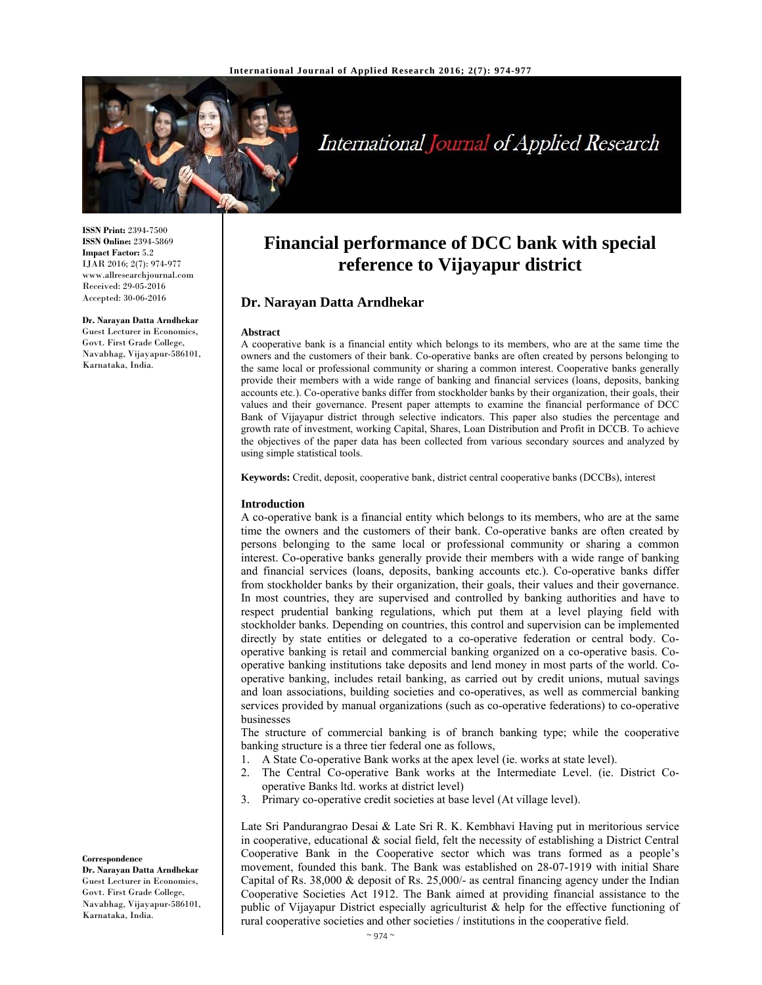

# International Journal of Applied Research

**ISSN Print:** 2394-7500 **ISSN Online:** 2394-5869 **Impact Factor:** 5.2 IJAR 2016; 2(7): 974-977 www.allresearchjournal.com Received: 29-05-2016 Accepted: 30-06-2016

#### **Dr. Narayan Datta Arndhekar**

Guest Lecturer in Economics, Govt. First Grade College, Navabhag, Vijayapur-586101, Karnataka, India.

## **Financial performance of DCC bank with special reference to Vijayapur district**

## **Dr. Narayan Datta Arndhekar**

#### **Abstract**

A cooperative bank is a financial entity which belongs to its members, who are at the same time the owners and the customers of their bank. Co-operative banks are often created by persons belonging to the same local or professional community or sharing a common interest. Cooperative banks generally provide their members with a wide range of banking and financial services (loans, deposits, banking accounts etc.). Co-operative banks differ from stockholder banks by their organization, their goals, their values and their governance. Present paper attempts to examine the financial performance of DCC Bank of Vijayapur district through selective indicators. This paper also studies the percentage and growth rate of investment, working Capital, Shares, Loan Distribution and Profit in DCCB. To achieve the objectives of the paper data has been collected from various secondary sources and analyzed by using simple statistical tools.

**Keywords:** Credit, deposit, cooperative bank, district central cooperative banks (DCCBs), interest

#### **Introduction**

A co-operative bank is a financial entity which belongs to its members, who are at the same time the owners and the customers of their bank. Co-operative banks are often created by persons belonging to the same local or professional community or sharing a common interest. Co-operative banks generally provide their members with a wide range of banking and financial services (loans, deposits, banking accounts etc.). Co-operative banks differ from stockholder banks by their organization, their goals, their values and their governance. In most countries, they are supervised and controlled by banking authorities and have to respect prudential banking regulations, which put them at a level playing field with stockholder banks. Depending on countries, this control and supervision can be implemented directly by state entities or delegated to a co-operative federation or central body. Cooperative banking is retail and commercial banking organized on a co-operative basis. Cooperative banking institutions take deposits and lend money in most parts of the world. Cooperative banking, includes retail banking, as carried out by credit unions, mutual savings and loan associations, building societies and co-operatives, as well as commercial banking services provided by manual organizations (such as co-operative federations) to co-operative businesses

The structure of commercial banking is of branch banking type; while the cooperative banking structure is a three tier federal one as follows,

- 1. A State Co-operative Bank works at the apex level (ie. works at state level).
- 2. The Central Co-operative Bank works at the Intermediate Level. (ie. District Cooperative Banks ltd. works at district level)
- 3. Primary co-operative credit societies at base level (At village level).

Late Sri Pandurangrao Desai & Late Sri R. K. Kembhavi Having put in meritorious service in cooperative, educational & social field, felt the necessity of establishing a District Central Cooperative Bank in the Cooperative sector which was trans formed as a people's movement, founded this bank. The Bank was established on 28-07-1919 with initial Share Capital of Rs. 38,000 & deposit of Rs. 25,000/- as central financing agency under the Indian Cooperative Societies Act 1912. The Bank aimed at providing financial assistance to the public of Vijayapur District especially agriculturist & help for the effective functioning of rural cooperative societies and other societies / institutions in the cooperative field.

#### **Correspondence**

**Dr. Narayan Datta Arndhekar**  Guest Lecturer in Economics, Govt. First Grade College, Navabhag, Vijayapur-586101, Karnataka, India.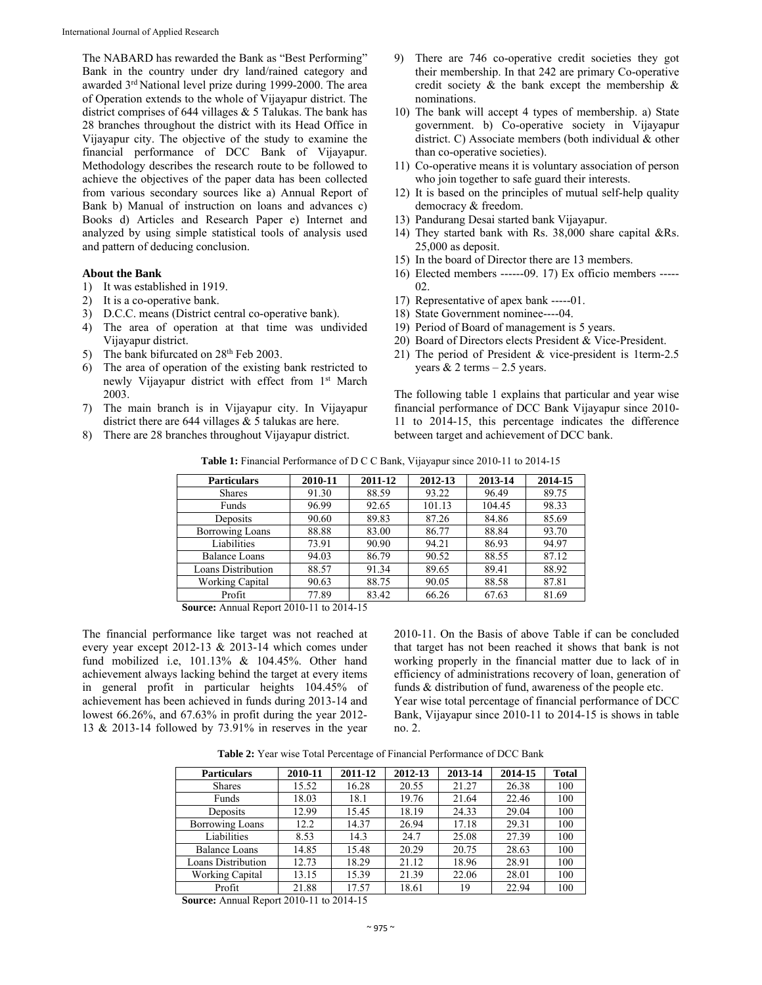The NABARD has rewarded the Bank as "Best Performing" Bank in the country under dry land/rained category and awarded 3rd National level prize during 1999-2000. The area of Operation extends to the whole of Vijayapur district. The district comprises of 644 villages & 5 Talukas. The bank has 28 branches throughout the district with its Head Office in Vijayapur city. The objective of the study to examine the financial performance of DCC Bank of Vijayapur. Methodology describes the research route to be followed to achieve the objectives of the paper data has been collected from various secondary sources like a) Annual Report of Bank b) Manual of instruction on loans and advances c) Books d) Articles and Research Paper e) Internet and analyzed by using simple statistical tools of analysis used and pattern of deducing conclusion.

## **About the Bank**

- 1) It was established in 1919.
- 2) It is a co-operative bank.
- 3) D.C.C. means (District central co-operative bank).
- 4) The area of operation at that time was undivided Vijayapur district.
- 5) The bank bifurcated on  $28<sup>th</sup>$  Feb 2003.
- 6) The area of operation of the existing bank restricted to newly Vijayapur district with effect from 1<sup>st</sup> March 2003.
- 7) The main branch is in Vijayapur city. In Vijayapur district there are 644 villages & 5 talukas are here.
- 8) There are 28 branches throughout Vijayapur district.
- 9) There are 746 co-operative credit societies they got their membership. In that 242 are primary Co-operative credit society & the bank except the membership & nominations.
- 10) The bank will accept 4 types of membership. a) State government. b) Co-operative society in Vijayapur district. C) Associate members (both individual & other than co-operative societies).
- 11) Co-operative means it is voluntary association of person who join together to safe guard their interests.
- 12) It is based on the principles of mutual self-help quality democracy & freedom.
- 13) Pandurang Desai started bank Vijayapur.
- 14) They started bank with Rs. 38,000 share capital &Rs. 25,000 as deposit.
- 15) In the board of Director there are 13 members.
- 16) Elected members ------09. 17) Ex officio members -----  $02.$
- 17) Representative of apex bank -----01.
- 18) State Government nominee----04.
- 19) Period of Board of management is 5 years.
- 20) Board of Directors elects President & Vice-President.
- 21) The period of President & vice-president is 1term-2.5 years  $& 2$  terms  $-2.5$  years.

The following table 1 explains that particular and year wise financial performance of DCC Bank Vijayapur since 2010- 11 to 2014-15, this percentage indicates the difference between target and achievement of DCC bank.

**Table 1:** Financial Performance of D C C Bank, Vijayapur since 2010-11 to 2014-15

| <b>Particulars</b>     | 2010-11 | 2011-12 | 2012-13 | 2013-14 | 2014-15 |
|------------------------|---------|---------|---------|---------|---------|
| <b>Shares</b>          | 91.30   | 88.59   | 93.22   | 96.49   | 89.75   |
| Funds                  | 96.99   | 92.65   | 101.13  | 104.45  | 98.33   |
| Deposits               | 90.60   | 89.83   | 87.26   | 84.86   | 85.69   |
| <b>Borrowing Loans</b> | 88.88   | 83.00   | 86.77   | 88.84   | 93.70   |
| Liabilities            | 73.91   | 90.90   | 94.21   | 86.93   | 94.97   |
| Balance Loans          | 94.03   | 86.79   | 90.52   | 88.55   | 87.12   |
| Loans Distribution     | 88.57   | 91.34   | 89.65   | 89.41   | 88.92   |
| Working Capital        | 90.63   | 88.75   | 90.05   | 88.58   | 87.81   |
| Profit                 | 77.89   | 83.42   | 66.26   | 67.63   | 81.69   |

**Source:** Annual Report 2010-11 to 2014-15

The financial performance like target was not reached at every year except 2012-13 & 2013-14 which comes under fund mobilized i.e, 101.13% & 104.45%. Other hand achievement always lacking behind the target at every items in general profit in particular heights 104.45% of achievement has been achieved in funds during 2013-14 and lowest 66.26%, and 67.63% in profit during the year 2012- 13 & 2013-14 followed by 73.91% in reserves in the year

2010-11. On the Basis of above Table if can be concluded that target has not been reached it shows that bank is not working properly in the financial matter due to lack of in efficiency of administrations recovery of loan, generation of funds & distribution of fund, awareness of the people etc.

Year wise total percentage of financial performance of DCC Bank, Vijayapur since 2010-11 to 2014-15 is shows in table no. 2.

**Table 2:** Year wise Total Percentage of Financial Performance of DCC Bank

| <b>Particulars</b>     | 2010-11 | 2011-12 | 2012-13 | 2013-14 | 2014-15 | Total |
|------------------------|---------|---------|---------|---------|---------|-------|
| <b>Shares</b>          | 15.52   | 16.28   | 20.55   | 21.27   | 26.38   | 100   |
| Funds                  | 18.03   | 18.1    | 19.76   | 21.64   | 22.46   | 100   |
| Deposits               | 12.99   | 15.45   | 18.19   | 24.33   | 29.04   | 100   |
| <b>Borrowing Loans</b> | 12.2    | 14.37   | 26.94   | 17.18   | 29.31   | 100   |
| Liabilities            | 8.53    | 14.3    | 24.7    | 25.08   | 27.39   | 100   |
| Balance Loans          | 14.85   | 15.48   | 20.29   | 20.75   | 28.63   | 100   |
| Loans Distribution     | 12.73   | 18.29   | 21.12   | 18.96   | 28.91   | 100   |
| Working Capital        | 13.15   | 15.39   | 21.39   | 22.06   | 28.01   | 100   |
| Profit                 | 21.88   | 17.57   | 18.61   | 19      | 22.94   | 100   |

**Source:** Annual Report 2010-11 to 2014-15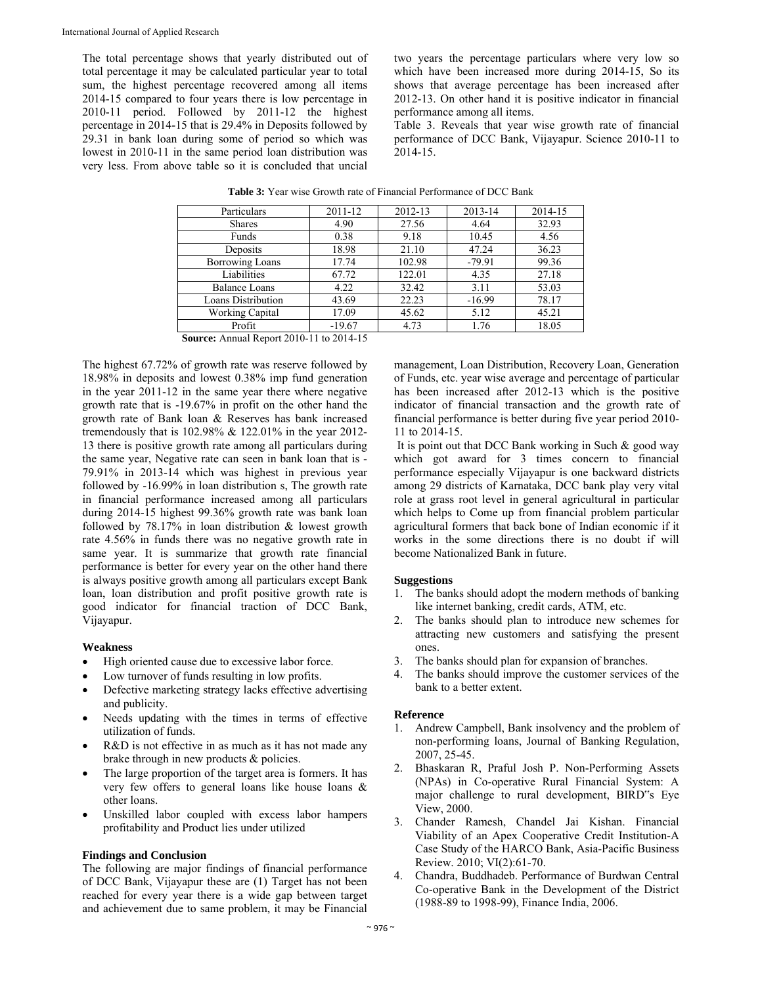The total percentage shows that yearly distributed out of total percentage it may be calculated particular year to total sum, the highest percentage recovered among all items 2014-15 compared to four years there is low percentage in 2010-11 period. Followed by 2011-12 the highest percentage in 2014-15 that is 29.4% in Deposits followed by 29.31 in bank loan during some of period so which was lowest in 2010-11 in the same period loan distribution was very less. From above table so it is concluded that uncial two years the percentage particulars where very low so which have been increased more during 2014-15, So its shows that average percentage has been increased after 2012-13. On other hand it is positive indicator in financial performance among all items.

Table 3. Reveals that year wise growth rate of financial performance of DCC Bank, Vijayapur. Science 2010-11 to 2014-15.

| Particulars            | 2011-12  | 2012-13 | 2013-14  | 2014-15 |
|------------------------|----------|---------|----------|---------|
| <b>Shares</b>          | 4.90     | 27.56   | 4.64     | 32.93   |
| Funds                  | 0.38     | 9.18    | 10.45    | 4.56    |
| Deposits               | 18.98    | 21.10   | 47.24    | 36.23   |
| <b>Borrowing Loans</b> | 17.74    | 102.98  | $-79.91$ | 99.36   |
| Liabilities            | 67.72    | 122.01  | 4.35     | 27.18   |
| Balance Loans          | 4.22     | 32.42   | 3.11     | 53.03   |
| Loans Distribution     | 43.69    | 22.23   | $-16.99$ | 78.17   |
| <b>Working Capital</b> | 17.09    | 45.62   | 5.12     | 45.21   |
| Profit                 | $-19.67$ | 4.73    | 1.76     | 18.05   |

| <b>Table 3:</b> Year wise Growth rate of Financial Performance of DCC Bank |
|----------------------------------------------------------------------------|
|----------------------------------------------------------------------------|

**Source:** Annual Report 2010-11 to 2014-15

The highest 67.72% of growth rate was reserve followed by 18.98% in deposits and lowest 0.38% imp fund generation in the year 2011-12 in the same year there where negative growth rate that is -19.67% in profit on the other hand the growth rate of Bank loan & Reserves has bank increased tremendously that is 102.98% & 122.01% in the year 2012- 13 there is positive growth rate among all particulars during the same year, Negative rate can seen in bank loan that is - 79.91% in 2013-14 which was highest in previous year followed by -16.99% in loan distribution s, The growth rate in financial performance increased among all particulars during 2014-15 highest 99.36% growth rate was bank loan followed by 78.17% in loan distribution & lowest growth rate 4.56% in funds there was no negative growth rate in same year. It is summarize that growth rate financial performance is better for every year on the other hand there is always positive growth among all particulars except Bank loan, loan distribution and profit positive growth rate is good indicator for financial traction of DCC Bank, Vijayapur.

## **Weakness**

- High oriented cause due to excessive labor force.
- Low turnover of funds resulting in low profits.
- Defective marketing strategy lacks effective advertising and publicity.
- Needs updating with the times in terms of effective utilization of funds.
- R&D is not effective in as much as it has not made any brake through in new products & policies.
- The large proportion of the target area is formers. It has very few offers to general loans like house loans & other loans.
- Unskilled labor coupled with excess labor hampers profitability and Product lies under utilized

## **Findings and Conclusion**

The following are major findings of financial performance of DCC Bank, Vijayapur these are (1) Target has not been reached for every year there is a wide gap between target and achievement due to same problem, it may be Financial

management, Loan Distribution, Recovery Loan, Generation of Funds, etc. year wise average and percentage of particular has been increased after 2012-13 which is the positive indicator of financial transaction and the growth rate of financial performance is better during five year period 2010- 11 to 2014-15.

 It is point out that DCC Bank working in Such & good way which got award for 3 times concern to financial performance especially Vijayapur is one backward districts among 29 districts of Karnataka, DCC bank play very vital role at grass root level in general agricultural in particular which helps to Come up from financial problem particular agricultural formers that back bone of Indian economic if it works in the some directions there is no doubt if will become Nationalized Bank in future.

## **Suggestions**

- 1. The banks should adopt the modern methods of banking like internet banking, credit cards, ATM, etc.
- 2. The banks should plan to introduce new schemes for attracting new customers and satisfying the present ones.
- 3. The banks should plan for expansion of branches.
- 4. The banks should improve the customer services of the bank to a better extent.

## **Reference**

- 1. Andrew Campbell, Bank insolvency and the problem of non-performing loans, Journal of Banking Regulation, 2007, 25-45.
- 2. Bhaskaran R, Praful Josh P. Non-Performing Assets (NPAs) in Co-operative Rural Financial System: A major challenge to rural development, BIRD"s Eye View, 2000.
- 3. Chander Ramesh, Chandel Jai Kishan. Financial Viability of an Apex Cooperative Credit Institution-A Case Study of the HARCO Bank, Asia-Pacific Business Review. 2010; VI(2):61-70.
- 4. Chandra, Buddhadeb. Performance of Burdwan Central Co-operative Bank in the Development of the District (1988-89 to 1998-99), Finance India, 2006.